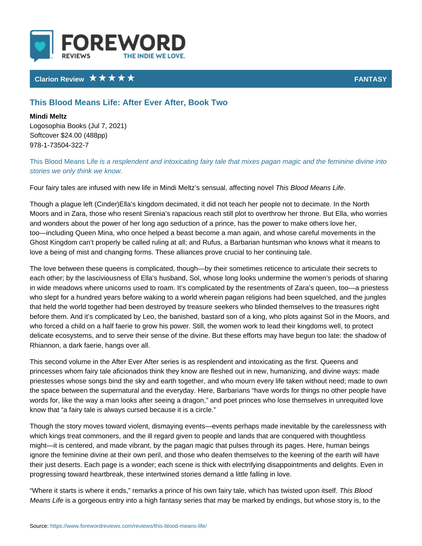## Clarion Review **FANTA**S

## This Blood Means Life: After Ever After, Book Two

Mindi Meltz Logosophia Books (Jul 7, 2021) Softcover \$24.00 (488pp) 978-1-73504-322-7

This Blood Meass a Lite splendent and intoxicating fairy tale that mixes pagan mag stories we only think we know.

Four fairy tales are infused with new life in Mindi TMheist. $\bm{B}$  IsossetnMsterah,s alffeccting no

Though a plague left (Cinder)Ella s kingdom decimated, it did not teach her peo Moors and in Zara, those who resent Sirenia s rapacious reach still plot to over and wonders about the power of her long ago seduction of a prince, has the pow too including Queen Mina, who once helped a beast become a man again, and w Ghost Kingdom can t properly be called ruling at all; and Rufus, a Barbarian hu love a being of mist and changing forms. These alliances prove crucial to her c

The love between these queens is complicated, though by their sometimes retic each other; by the lasciviousness of Ella s husband, Sol, whose long looks und in wide meadows where unicorns used to roam. It s complicated by the resentme who slept for a hundred years before waking to a world wherein pagan religions that held the world together had been destroyed by treasure seekers who blinde before them. And it s complicated by Leo, the banished, bastard son of a king, who forced a child on a half faerie to grow his power. Still, the women work to delicate ecosystems, and to serve their sense of the divine. But these efforts m Rhiannon, a dark faerie, hangs over all.

This second volume in the After Ever After series is as resplendent and intoxic princesses whom fairy tale aficionados think they know are fleshed out in new, priestesses whose songs bind the sky and earth together, and who mourn every the space between the supernatural and the everyday. Here, Barbarians have w words for, like the way a man looks after seeing a dragon, and poet princes wh know that a fairy tale is always cursed because it is a circle.

Though the story moves toward violent, dismaying events events perhaps made which kings treat commoners, and the ill regard given to people and lands that might it is centered, and made vibrant, by the pagan magic that pulses through ignore the feminine divine at their own peril, and those who deafen themselves their just deserts. Each page is a wonder; each scene is thick with electrifying progressing toward heartbreak, these intertwined stories demand a little falling

Where it starts is where it ends, remarks a prince of his own Tahiirsy Baladed which Means Lisfea gorgeous entry into a high fantasy series that may be marked by en